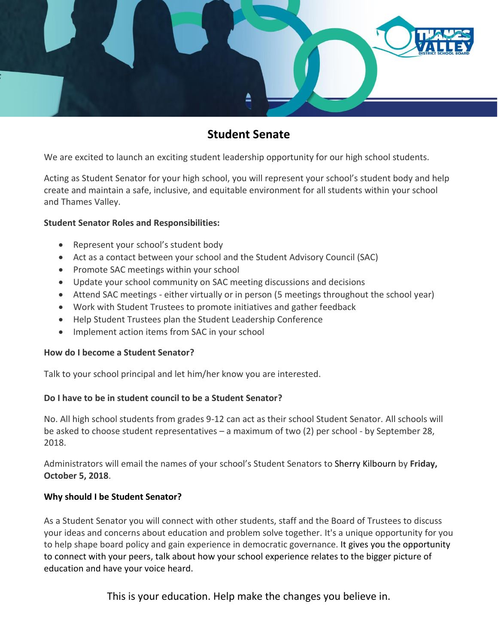

# **Student Senate**

We are excited to launch an exciting student leadership opportunity for our high school students.

Acting as Student Senator for your high school, you will represent your school's student body and help create and maintain a safe, inclusive, and equitable environment for all students within your school and Thames Valley.

#### **Student Senator Roles and Responsibilities:**

- Represent your school's student body
- Act as a contact between your school and the Student Advisory Council (SAC)
- Promote SAC meetings within your school
- Update your school community on SAC meeting discussions and decisions
- Attend SAC meetings either virtually or in person (5 meetings throughout the school year)
- Work with Student Trustees to promote initiatives and gather feedback
- Help Student Trustees plan the Student Leadership Conference
- Implement action items from SAC in your school

#### **How do I become a Student Senator?**

Talk to your school principal and let him/her know you are interested.

### **Do I have to be in student council to be a Student Senator?**

No. All high school students from grades 9-12 can act as their school Student Senator. All schools will be asked to choose student representatives – a maximum of two (2) per school - by September 28, 2018.

Administrators will email the names of your school's Student Senators to Sherry Kilbourn by **Friday, October 5, 2018**.

### **Why should I be Student Senator?**

As a Student Senator you will connect with other students, staff and the Board of Trustees to discuss your ideas and concerns about education and problem solve together. It's a unique opportunity for you to help shape board policy and gain experience in democratic governance. It gives you the opportunity to connect with your peers, talk about how your school experience relates to the bigger picture of education and have your voice heard.

This is your education. Help make the changes you believe in.